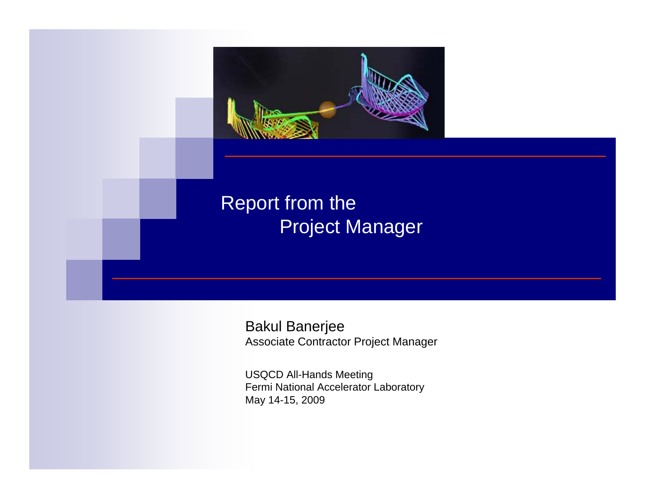

Bakul Banerjee Associate Contractor Project Manager

USQCD All-Hands Meeting Fermi National Accelerator Laboratory May 14-15, 2009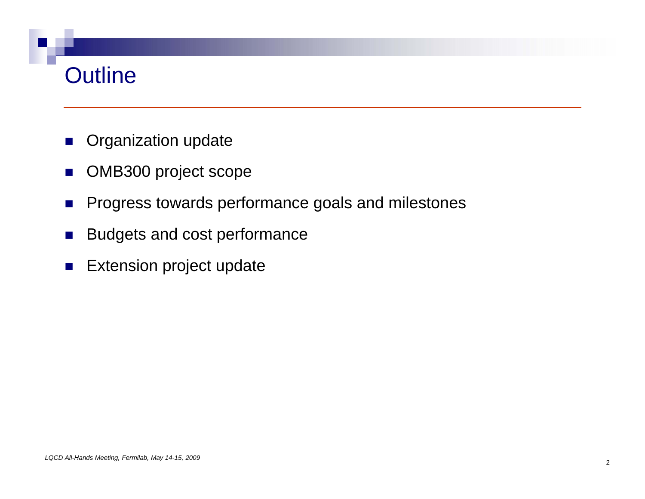# Outline

- $\mathcal{L}_{\mathcal{A}}$ Organization update
- $\mathcal{O}^{\mathcal{O}}$ OMB300 project scope
- $\mathcal{L}_{\mathcal{A}}$ Progress towards performance goals and milestones
- $\mathcal{L}_{\mathcal{A}}$ Budgets and cost performance
- $\mathcal{L}_{\mathcal{A}}$ Extension project update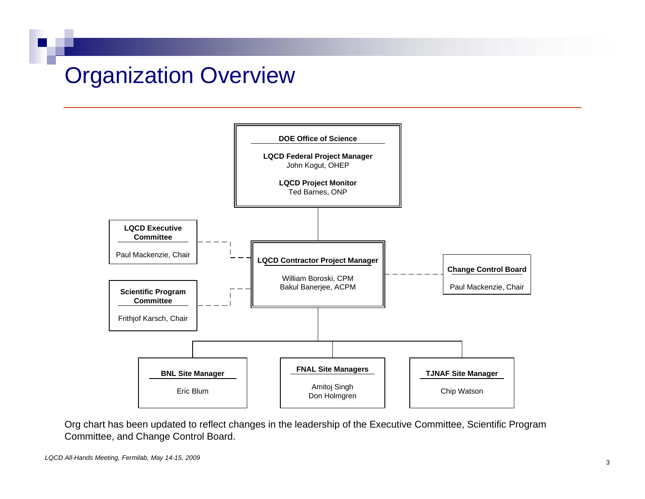## Organization Overview



Org chart has been updated to reflect changes in the leadership of the Executive Committee, Scientific Program Committee, and Change Control Board.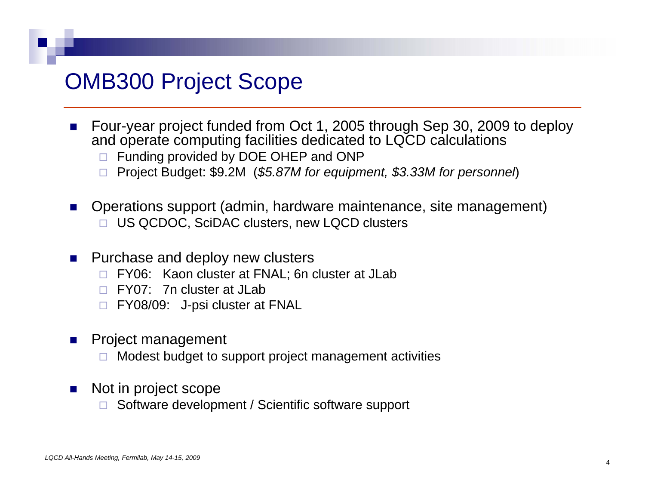### **OMB300 Project Scope**

- F. Four-year project funded from Oct 1, 2005 through Sep 30, 2009 to deploy and operate computing facilities dedicated to LQCD calculations
	- □ Funding provided by DOE OHEP and ONP
	- Project Budget: \$9.2M (*\$5.87M for equipment, \$3.33M for personnel*)
- $\mathcal{L}_{\rm{max}}$  Operations support (admin, hardware maintenance, site management) □ US QCDOC, SciDAC clusters, new LQCD clusters
- $\mathcal{L}^{\text{max}}$  Purchase and deploy new clusters
	- □ FY06: Kaon cluster at FNAL; 6n cluster at JLab
	- □ FY07: 7n cluster at JLab
	- □ FY08/09: J-psi cluster at FNAL
- × Project management
	- □ Modest budget to support project management activities
- $\sim 10$  Not in project scope
	- □  $\Box$  Software development / Scientific software support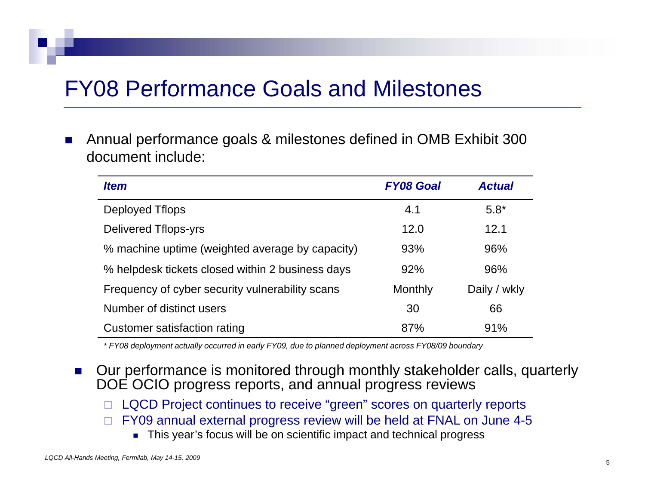## **FY08 Performance Goals and Milestones**

 $\mathcal{L}^{\mathcal{L}}$  Annual performance goals & milestones defined in OMB Exhibit 300 document include:. . . . . .

| <b>Item</b>                                      | <b>FY08 Goal</b> | <b>Actual</b> |
|--------------------------------------------------|------------------|---------------|
| Deployed Tflops                                  | 4.1              | $5.8*$        |
| Delivered Tflops-yrs                             | 12.0             | 12.1          |
| % machine uptime (weighted average by capacity)  | 93%              | 96%           |
| % helpdesk tickets closed within 2 business days | 92%              | 96%           |
| Frequency of cyber security vulnerability scans  | Monthly          | Daily / wkly  |
| Number of distinct users                         | 30               | 66            |
| Customer satisfaction rating                     | 87%              | 91%           |

\* FY08 deployment actually occurred in early FY09, due to planned deployment across FY08/09 boundary

- F. Our performance is monitored through monthly stakeholder calls, quarterly DOE OCIO progress reports, and annual progress reviews
	- □ LQCD Project continues to receive "green" scores on quarterly reports
	- $\Box$  FY09 annual external progress review will be held at FNAL on June 4-5
		- This year's focus will be on scientific impact and technical progress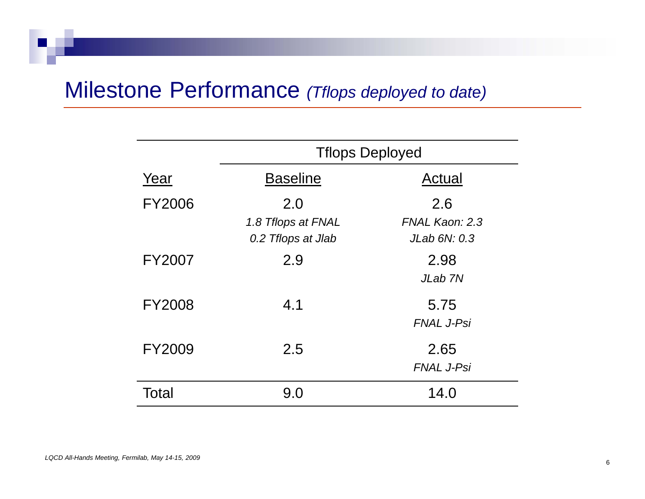### Milestone Performance *(Tflops deployed to date)*

|               | <b>Tflops Deployed</b>                         |                                       |  |  |
|---------------|------------------------------------------------|---------------------------------------|--|--|
| Year          | <b>Baseline</b>                                | Actual                                |  |  |
| <b>FY2006</b> | 2.0<br>1.8 Tflops at FNAL<br>0.2 Thops at Jlab | 2.6<br>FNAL Kaon: 2.3<br>JLab 6N: 0.3 |  |  |
| <b>FY2007</b> | 2.9                                            | 2.98<br>JLab 7N                       |  |  |
| <b>FY2008</b> | 4.1                                            | 5.75<br><b>FNAL J-Psi</b>             |  |  |
| FY2009        | 2.5                                            | 2.65<br><b>FNAL J-Psi</b>             |  |  |
| Total         | 9.0                                            | 14.0                                  |  |  |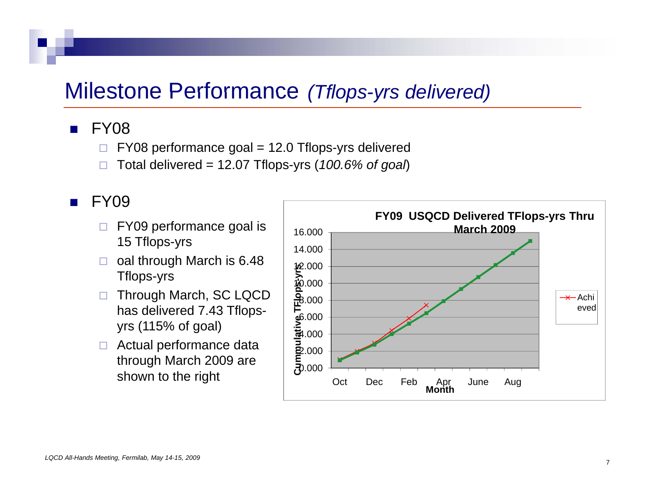### Milestone Performance (Tflops-yrs delivered)

### $\blacksquare$  FY08

- $\Box$ FY08 performance goal = 12.0 Tflops-yrs delivered
- $\Box$ Total delivered = 12.07 Tflops-yrs (*100.6% of goal*)

### $\blacksquare$  FY09

- $\Box$  FY09 performance goal is 15 Tflops-yrs
- $\Box$  oal through March is 6.48  $\begin{array}{c|c}\n\text{Tflops-yrs}\n\end{array}$   $\begin{array}{c|c}\n\hline\n\text{w}_\text{0.000}\n\end{array}$
- $\Box$  Through March, SC LQCD has delivered 7.43 Tflopsyrs (115% of goal)
- □ Actual performance data through March 2009 are shown to the right

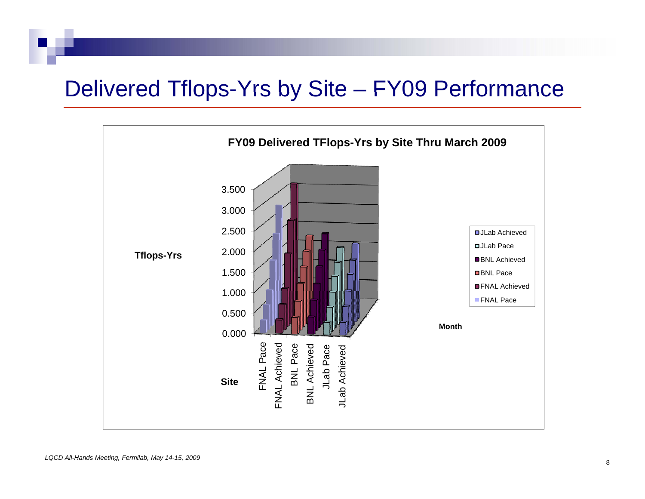# Delivered Tflops-Yrs by Site - FY09 Performance

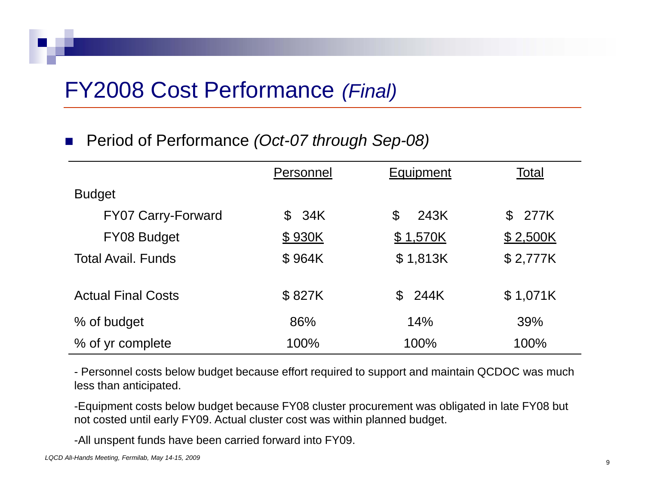## FY2008 Cost Performance *(Final)*

#### $\mathcal{L}_{\mathcal{A}}$ Period of Performance *(Oct-07 through Sep-08)*

|                           | Personnel | Equipment             | Total                  |
|---------------------------|-----------|-----------------------|------------------------|
| <b>Budget</b>             |           |                       |                        |
| <b>FY07 Carry-Forward</b> | \$34K     | $\mathcal{C}$<br>243K | 277K<br>$\mathfrak{L}$ |
| FY08 Budget               | \$930K    | \$1,570K              | \$2,500K               |
| <b>Total Avail, Funds</b> | \$964K    | \$1,813K              | \$2,777K               |
| <b>Actual Final Costs</b> | \$827K    | $\mathbb S$<br>244K   | \$1,071K               |
| % of budget               | 86%       | 14%                   | 39%                    |
| % of yr complete          | 100%      | 100%                  | 100%                   |

- Personnel costs below budget because effort required to support and maintain QCDOC was much less than anticipated.

-Equipment costs below budget because FY08 cluster procurement was obligated in late FY08 but<br>not costed until early FY09. Actual cluster cost was within planned budget. not costed until early FY09. Actual cluster cost was within planned budget.

-All unspent funds have been carried forward into FY09.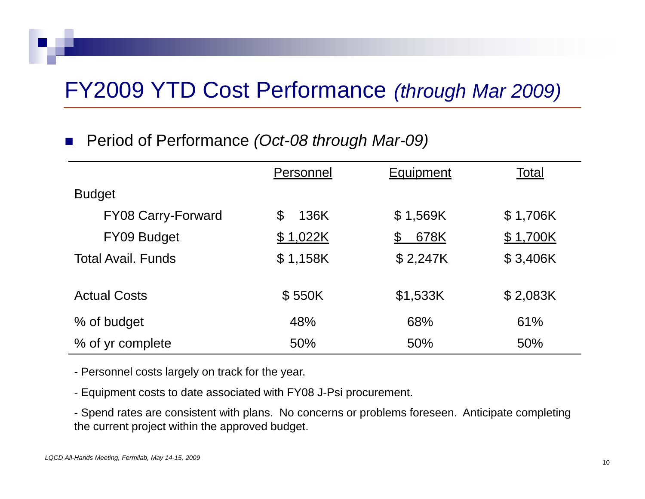# FY2009 YTD Cost Performance *(through Mar 2009)*

#### $\mathcal{L}_{\mathcal{A}}$ Period of Performance *(Oct-08 through Mar-09)*

|                           | Personnel | Equipment | Total    |
|---------------------------|-----------|-----------|----------|
| <b>Budget</b>             |           |           |          |
| <b>FY08 Carry-Forward</b> | 136K<br>S | \$1,569K  | \$1,706K |
| FY09 Budget               | \$1,022K  | 678K<br>£ | \$1,700K |
| <b>Total Avail, Funds</b> | \$1,158K  | \$2,247K  | \$3,406K |
| <b>Actual Costs</b>       | \$550K    | \$1,533K  | \$2,083K |
| % of budget               | 48%       | 68%       | 61%      |
| % of yr complete          | 50%       | 50%       | 50%      |

- Personnel costs largely on track for the year.

- Equipment costs to date associated with FY08 J-Psi procurement.

- Spend rates are consistent with plans. No concerns or problems foreseen. Anticipate completing the current project within the approved budget.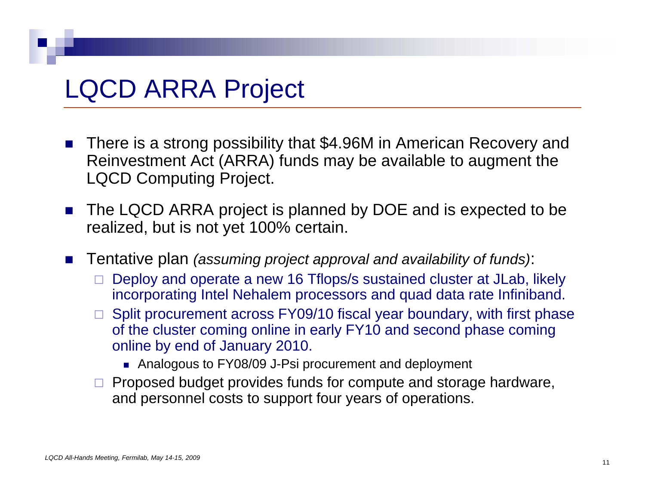# LQCD ARRA Project

- $\mathcal{L}^{\text{max}}$  There is a strong possibility that \$4.96M in American Recovery and Reinvestment Act (ARRA) funds may be available to augment the LQCD Computing Project.
- $\mathcal{L}_{\rm{max}}$ **The LQCD ARRA project is planned by DOE and is expected to be** realized, but is not yet 100% certain.
- $\mathcal{L}_{\mathcal{A}}$  Tentative plan *(assuming project approval and availability of funds)*:
	- $\Box$  $\Box$  Deploy and operate a new 16 Tflops/s sustained cluster at JLab, likely incorporating Intel Nehalem processors and quad data rate Infiniband.
	- $\Box$  Split procurement across FY09/10 fiscal year boundary, with first phase of the cluster coming online in early FY10 and second phase coming online by end of January 2010.
		- Analogous to FY08/09 J-Psi procurement and deployment
	- $\Box$  Proposed budget provides funds for compute and storage hardware, and personnel costs to support four years of operations.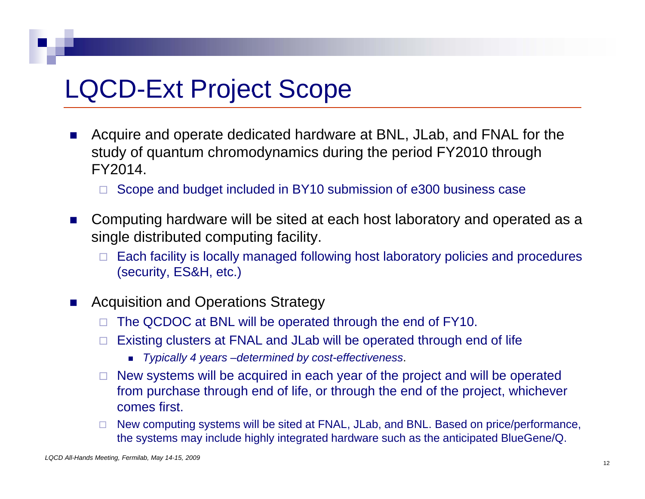# **LQCD-Ext Project Scope**

- F. Acquire and operate dedicated hardware at BNL, JLab, and FNAL for the study of quantum chromodynamics during the period FY2010 through FY2014.
	- □ Scope and budget included in BY10 submission of e300 business case
- $\mathcal{L}_{\mathcal{A}}$  Computing hardware will be sited at each host laboratory and operated as <sup>a</sup> single distributed computing facility.
	- $\Box$  Each facility is locally managed following host laboratory policies and procedures (security, ES&H, etc.)
- $\mathcal{L}_{\rm{max}}$  Acquisition and Operations Strategy
	- $\Box$ The QCDOC at BNL will be operated through the end of FY10.
	- П. Existing clusters at FNAL and JLab will be operated through end of life
		- *Typically 4 years –determined by cost-effectiveness*.
	- □ New systems will be acquired in each year of the project and will be operated from purchase through end of life, or through the end of the project, whichever comes first.
	- □ New computing systems will be sited at FNAL, JLab, and BNL. Based on price/performance, the systems may include highly integrated hardware such as the anticipated BlueGene/Q.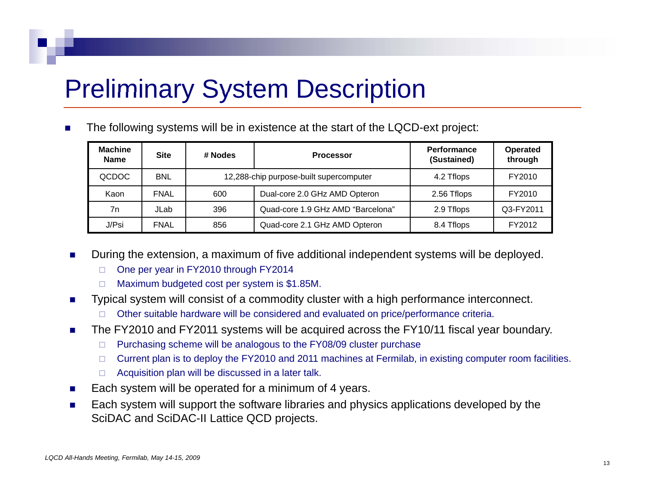# **Preliminary System Description**

Г The following systems will be in existence at the start of the LQCD-ext project:

| <b>Machine</b><br><b>Name</b> | <b>Site</b> | # Nodes                                 | <b>Processor</b>                  | <b>Performance</b><br>(Sustained) | Operated<br>through |
|-------------------------------|-------------|-----------------------------------------|-----------------------------------|-----------------------------------|---------------------|
| QCDOC                         | <b>BNL</b>  | 12,288-chip purpose-built supercomputer |                                   | 4.2 Tflops                        | FY2010              |
| Kaon                          | <b>FNAL</b> | 600                                     | Dual-core 2.0 GHz AMD Opteron     | 2.56 Tflops                       | FY2010              |
| 7n                            | JLab        | 396                                     | Quad-core 1.9 GHz AMD "Barcelona" | 2.9 Tflops                        | Q3-FY2011           |
| J/Psi                         | <b>FNAL</b> | 856                                     | Quad-core 2.1 GHz AMD Opteron     | 8.4 Tflops                        | FY2012              |

- Г During the extension, a maximum of five additional independent systems will be deployed.
	- $\Box$ One per year in FY2010 through FY2014
	- $\Box$  $\Box$  Maximum budgeted cost per system is \$1.85M.
- $\mathcal{L}_{\mathcal{A}}$  Typical system will consist of a commodity cluster with a high performance interconnect.
	- □ Other suitable hardware will be considered and evaluated on price/performance criteria.
- $\mathbf{r}$  The FY2010 and FY2011 systems will be acquired across the FY10/11 fiscal year boundary.
	- $\Box$ Purchasing scheme will be analogous to the FY08/09 cluster purchase
	- □ Current plan is to deploy the FY2010 and 2011 machines at Fermilab, in existing computer room facilities.
	- $\Box$  Acquisition plan will be discussed in a later talk.
- $\mathcal{L}_{\mathcal{A}}$ Each system will be operated for a minimum of 4 years.
- $\mathcal{L}_{\mathcal{A}}$  $\blacksquare$  Each system will support the software libraries and physics applications developed by the SciDAC and SciDAC-II Lattice QCD projects.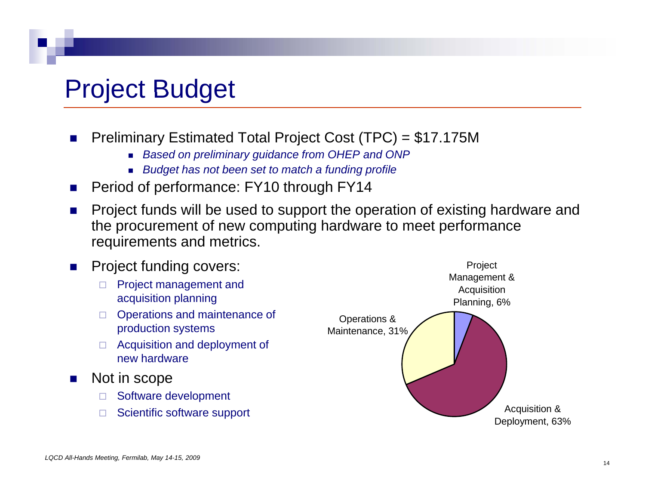# Project Budget

- ×. Preliminary Estimated Total Project Cost (TPC) = \$17.175M
	- *Based on preliminary guidance from OHEP and ONP*
	- *Budget has not been set to match a funding profile*
- F. Period of performance: FY10 through FY14
- $\mathcal{L}^{\mathcal{A}}$ Project funds will be used to support the operation of existing hardware and the procurement of new computing hardware to meet performance requirements and metrics.

#### $\sim$ Project funding covers:

- □ Project managemen<br>acquisition planning
- □ Operations and maintenance of production systems
- □ Acquisition and deployment of new hardware
- $\sim 10$  Not in scope
	- $\Box$ Software development
	- $\Box$

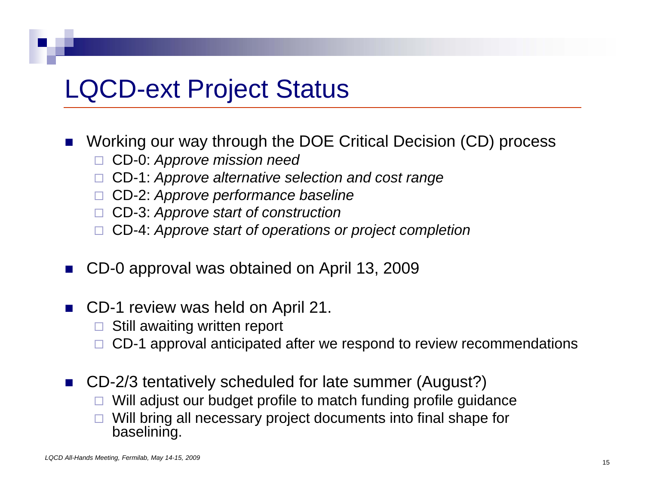# **LQCD-ext Project Status**

- $\overline{\phantom{a}}$  Working our way through the DOE Critical Decision (CD) process
	- □ CD-0: *Approve mission need*
	- CD-1: *Approve alternative selection and cost range*
	- CD-2: *Approve performance baseline*
	- □ CD-3: Approve start of construction
	- CD-4: *Approve start of operations or project completion*
- Г. CD-0 approval was obtained on April 13, 2009
- $\blacksquare$  CD-1 review was held on April 21.
	- $\square$  Still awaiting written report
	- □ CD-1 approval anticipated after we respond to review recommendations
- CD-2/3 tentatively scheduled for late summer (August?)
	- □  $\Box$  Will adjust our budget profile to match funding profile guidance
	- $\Box$  Will bring all necessary project documents into final shape for baselining.